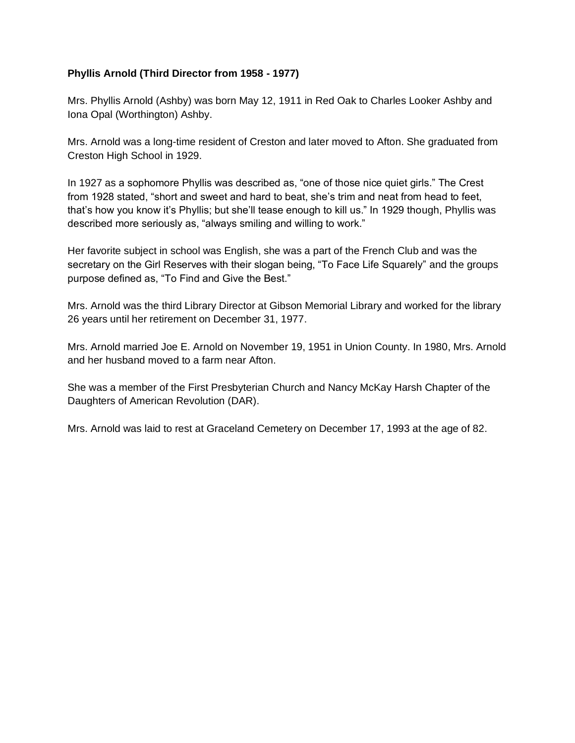## **Phyllis Arnold (Third Director from 1958 - 1977)**

Mrs. Phyllis Arnold (Ashby) was born May 12, 1911 in Red Oak to Charles Looker Ashby and Iona Opal (Worthington) Ashby.

Mrs. Arnold was a long-time resident of Creston and later moved to Afton. She graduated from Creston High School in 1929.

In 1927 as a sophomore Phyllis was described as, "one of those nice quiet girls." The Crest from 1928 stated, "short and sweet and hard to beat, she's trim and neat from head to feet, that's how you know it's Phyllis; but she'll tease enough to kill us." In 1929 though, Phyllis was described more seriously as, "always smiling and willing to work."

Her favorite subject in school was English, she was a part of the French Club and was the secretary on the Girl Reserves with their slogan being, "To Face Life Squarely" and the groups purpose defined as, "To Find and Give the Best."

Mrs. Arnold was the third Library Director at Gibson Memorial Library and worked for the library 26 years until her retirement on December 31, 1977.

Mrs. Arnold married Joe E. Arnold on November 19, 1951 in Union County. In 1980, Mrs. Arnold and her husband moved to a farm near Afton.

She was a member of the First Presbyterian Church and Nancy McKay Harsh Chapter of the Daughters of American Revolution (DAR).

Mrs. Arnold was laid to rest at Graceland Cemetery on December 17, 1993 at the age of 82.